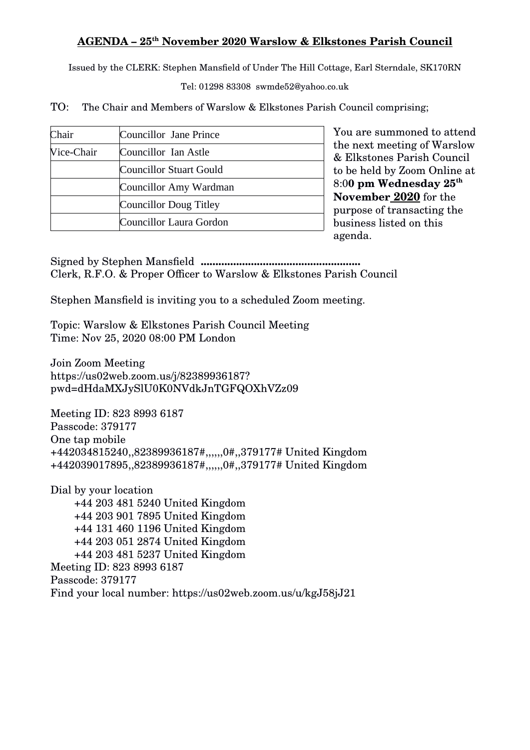## <u> AGENDA – 25th November 2020 Warslow & Elkstones Parish Council</u>

Issued by the CLERK: Stephen Mansfield of Under The Hill Cottage, Earl Sterndale, SK170RN

Tel: 01298 83308 swmde52@yahoo.co.uk

TO: The Chair and Members of Warslow & Elkstones Parish Council comprising;

| Chair             | Councillor Jane Prince        |
|-------------------|-------------------------------|
| <b>Nice-Chair</b> | Councillor Ian Astle          |
|                   | Councillor Stuart Gould       |
|                   | Councillor Amy Wardman        |
|                   | <b>Councillor Doug Titley</b> |
|                   | Councillor Laura Gordon       |

You are summoned to attend the next meeting of Warslow & Elkstones Parish Council to be held by Zoom Online at 8:0**0 pm Wednesday 25 th November 2020** for the purpose of transacting the business listed on this agenda.

Signed by Stephen Mansfield **......................................................** Clerk, R.F.O. & Proper Officer to Warslow & Elkstones Parish Council

Stephen Mansfield is inviting you to a scheduled Zoom meeting.

Topic: Warslow & Elkstones Parish Council Meeting Time: Nov 25, 2020 08:00 PM London

Join Zoom Meeting https://us02web.zoom.us/j/82389936187? pwd=dHdaMXJySlU0K0NVdkJnTGFQOXhVZz09

Meeting ID: 823 8993 6187 Passcode: 379177 One tap mobile +442034815240,,82389936187#,,,,,,0#,,379177# United Kingdom +442039017895,,82389936187#,,,,,,0#,,379177# United Kingdom

Dial by your location +44 203 481 5240 United Kingdom +44 203 901 7895 United Kingdom +44 131 460 1196 United Kingdom +44 203 051 2874 United Kingdom +44 203 481 5237 United Kingdom Meeting ID: 823 8993 6187 Passcode: 379177 Find your local number: https://us02web.zoom.us/u/kgJ58jJ21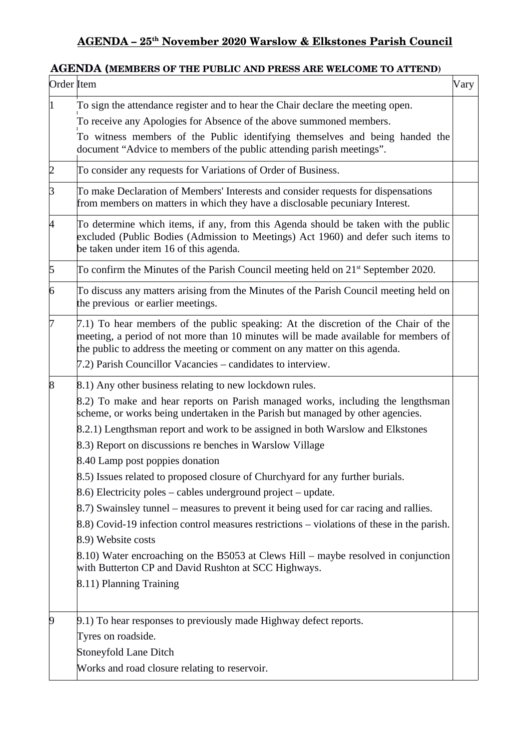## <u> AGENDA – 25th November 2020 Warslow & Elkstones Parish Council</u>

## **AGENDA (MEMBERS OF THE PUBLIC AND PRESS ARE WELCOME TO ATTEND)**

| Order Item  |                                                                                                                                                                                                                                                         | Vary |  |
|-------------|---------------------------------------------------------------------------------------------------------------------------------------------------------------------------------------------------------------------------------------------------------|------|--|
| $ 1\rangle$ | To sign the attendance register and to hear the Chair declare the meeting open.                                                                                                                                                                         |      |  |
|             | To receive any Apologies for Absence of the above summoned members.                                                                                                                                                                                     |      |  |
|             | To witness members of the Public identifying themselves and being handed the<br>document "Advice to members of the public attending parish meetings".                                                                                                   |      |  |
| $\vert$ 2   | To consider any requests for Variations of Order of Business.                                                                                                                                                                                           |      |  |
| 3           | To make Declaration of Members' Interests and consider requests for dispensations<br>from members on matters in which they have a disclosable pecuniary Interest.                                                                                       |      |  |
| 4           | To determine which items, if any, from this Agenda should be taken with the public<br>excluded (Public Bodies (Admission to Meetings) Act 1960) and defer such items to<br>be taken under item 16 of this agenda.                                       |      |  |
| $\sqrt{5}$  | To confirm the Minutes of the Parish Council meeting held on 21 <sup>st</sup> September 2020.                                                                                                                                                           |      |  |
| 6           | To discuss any matters arising from the Minutes of the Parish Council meeting held on<br>the previous or earlier meetings.                                                                                                                              |      |  |
| 7           | 7.1) To hear members of the public speaking: At the discretion of the Chair of the<br>meeting, a period of not more than 10 minutes will be made available for members of<br>the public to address the meeting or comment on any matter on this agenda. |      |  |
|             | 7.2) Parish Councillor Vacancies – candidates to interview.                                                                                                                                                                                             |      |  |
| $\vert 8$   | 8.1) Any other business relating to new lockdown rules.                                                                                                                                                                                                 |      |  |
|             | 8.2) To make and hear reports on Parish managed works, including the lengthsman<br>scheme, or works being undertaken in the Parish but managed by other agencies.                                                                                       |      |  |
|             | 8.2.1) Lengthsman report and work to be assigned in both Warslow and Elkstones                                                                                                                                                                          |      |  |
|             | 8.3) Report on discussions re benches in Warslow Village                                                                                                                                                                                                |      |  |
|             | 8.40 Lamp post poppies donation                                                                                                                                                                                                                         |      |  |
|             | 8.5) Issues related to proposed closure of Churchyard for any further burials.                                                                                                                                                                          |      |  |
|             | $(8.6)$ Electricity poles – cables underground project – update.                                                                                                                                                                                        |      |  |
|             | 8.7) Swainsley tunnel – measures to prevent it being used for car racing and rallies.                                                                                                                                                                   |      |  |
|             | 8.8) Covid-19 infection control measures restrictions – violations of these in the parish.                                                                                                                                                              |      |  |
|             | 8.9) Website costs                                                                                                                                                                                                                                      |      |  |
|             | $(8.10)$ Water encroaching on the B5053 at Clews Hill – maybe resolved in conjunction<br>with Butterton CP and David Rushton at SCC Highways.                                                                                                           |      |  |
|             | 8.11) Planning Training                                                                                                                                                                                                                                 |      |  |
| $\vert 9$   | 9.1) To hear responses to previously made Highway defect reports.<br>Tyres on roadside.                                                                                                                                                                 |      |  |
|             | <b>Stoneyfold Lane Ditch</b><br>Works and road closure relating to reservoir.                                                                                                                                                                           |      |  |
|             |                                                                                                                                                                                                                                                         |      |  |